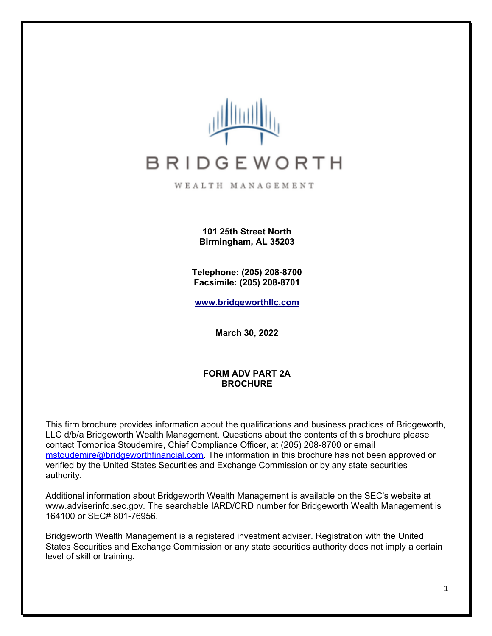

WEALTH MANAGEMENT

**101 25th Street North Birmingham, AL 35203**

**Telephone: (205) 208-8700 Facsimile: (205) 208-8701**

**[www.bridgeworthllc.com](http://www.bridgeworthllc.com/)**

**March 30, 2022**

#### **FORM ADV PART 2A BROCHURE**

This firm brochure provides information about the qualifications and business practices of Bridgeworth, LLC d/b/a Bridgeworth Wealth Management. Questions about the contents of this brochure please contact Tomonica Stoudemire, Chief Compliance Officer, at (205) 208-8700 or email mstoudemire@bridgeworthfinancial.com. The information in this brochure has not been approved or verified by the United States Securities and Exchange Commission or by any state securities authority.

Additional information about Bridgeworth Wealth Management is available on the SEC's website at www.adviserinfo.sec.gov. The searchable IARD/CRD number for Bridgeworth Wealth Management is 164100 or SEC# 801-76956.

Bridgeworth Wealth Management is a registered investment adviser. Registration with the United States Securities and Exchange Commission or any state securities authority does not imply a certain level of skill or training.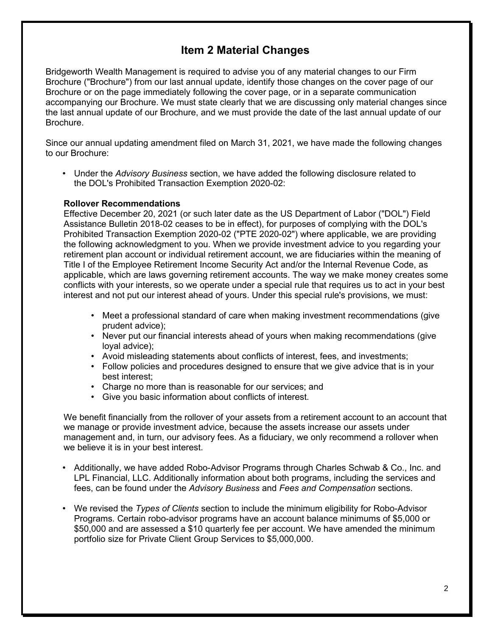## **Item 2 Material Changes**

Bridgeworth Wealth Management is required to advise you of any material changes to our Firm Brochure ("Brochure") from our last annual update, identify those changes on the cover page of our Brochure or on the page immediately following the cover page, or in a separate communication accompanying our Brochure. We must state clearly that we are discussing only material changes since the last annual update of our Brochure, and we must provide the date of the last annual update of our Brochure.

Since our annual updating amendment filed on March 31, 2021, we have made the following changes to our Brochure:

• Under the *Advisory Business* section, we have added the following disclosure related to the DOL's Prohibited Transaction Exemption 2020-02:

#### **Rollover Recommendations**

Effective December 20, 2021 (or such later date as the US Department of Labor ("DOL") Field Assistance Bulletin 2018-02 ceases to be in effect), for purposes of complying with the DOL's Prohibited Transaction Exemption 2020-02 ("PTE 2020-02") where applicable, we are providing the following acknowledgment to you. When we provide investment advice to you regarding your retirement plan account or individual retirement account, we are fiduciaries within the meaning of Title I of the Employee Retirement Income Security Act and/or the Internal Revenue Code, as applicable, which are laws governing retirement accounts. The way we make money creates some conflicts with your interests, so we operate under a special rule that requires us to act in your best interest and not put our interest ahead of yours. Under this special rule's provisions, we must:

- Meet a professional standard of care when making investment recommendations (give prudent advice);
- Never put our financial interests ahead of yours when making recommendations (give loyal advice);
- Avoid misleading statements about conflicts of interest, fees, and investments;
- Follow policies and procedures designed to ensure that we give advice that is in your best interest;
- Charge no more than is reasonable for our services; and
- Give you basic information about conflicts of interest.

We benefit financially from the rollover of your assets from a retirement account to an account that we manage or provide investment advice, because the assets increase our assets under management and, in turn, our advisory fees. As a fiduciary, we only recommend a rollover when we believe it is in your best interest.

- Additionally, we have added Robo-Advisor Programs through Charles Schwab & Co., Inc. and LPL Financial, LLC. Additionally information about both programs, including the services and fees, can be found under the *Advisory Business* and *Fees and Compensation* sections.
- We revised the *Types of Clients* section to include the minimum eligibility for Robo-Advisor Programs. Certain robo-advisor programs have an account balance minimums of \$5,000 or \$50,000 and are assessed a \$10 quarterly fee per account. We have amended the minimum portfolio size for Private Client Group Services to \$5,000,000.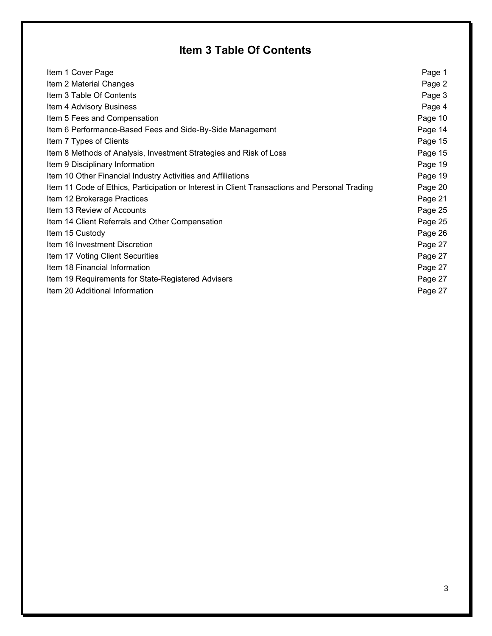# **Item 3 Table Of Contents**

| Item 1 Cover Page                                                                             | Page 1  |
|-----------------------------------------------------------------------------------------------|---------|
| Item 2 Material Changes                                                                       | Page 2  |
| Item 3 Table Of Contents                                                                      | Page 3  |
| Item 4 Advisory Business                                                                      | Page 4  |
| Item 5 Fees and Compensation                                                                  | Page 10 |
| Item 6 Performance-Based Fees and Side-By-Side Management                                     | Page 14 |
| Item 7 Types of Clients                                                                       | Page 15 |
| Item 8 Methods of Analysis, Investment Strategies and Risk of Loss                            | Page 15 |
| Item 9 Disciplinary Information                                                               | Page 19 |
| Item 10 Other Financial Industry Activities and Affiliations                                  | Page 19 |
| Item 11 Code of Ethics, Participation or Interest in Client Transactions and Personal Trading | Page 20 |
| Item 12 Brokerage Practices                                                                   | Page 21 |
| Item 13 Review of Accounts                                                                    | Page 25 |
| Item 14 Client Referrals and Other Compensation                                               | Page 25 |
| Item 15 Custody                                                                               | Page 26 |
| Item 16 Investment Discretion                                                                 | Page 27 |
| Item 17 Voting Client Securities                                                              | Page 27 |
| Item 18 Financial Information                                                                 | Page 27 |
| Item 19 Requirements for State-Registered Advisers                                            | Page 27 |
| Item 20 Additional Information                                                                | Page 27 |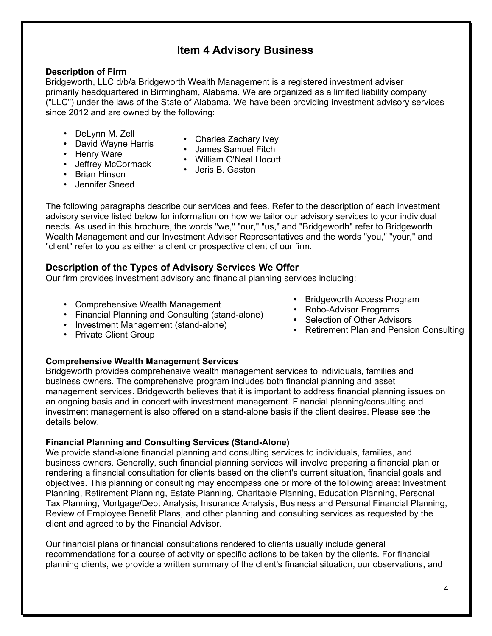## **Item 4 Advisory Business**

### **Description of Firm**

Bridgeworth, LLC d/b/a Bridgeworth Wealth Management is a registered investment adviser primarily headquartered in Birmingham, Alabama. We are organized as a limited liability company ("LLC") under the laws of the State of Alabama. We have been providing investment advisory services since 2012 and are owned by the following:

- DeLynn M. Zell
- David Wayne Harris • Henry Ware
- Charles Zachary Ivey
- James Samuel Fitch
- Jeffrey McCormack • William O'Neal Hocutt
	- Jeris B. Gaston
- Brian Hinson
- Jennifer Sneed

The following paragraphs describe our services and fees. Refer to the description of each investment advisory service listed below for information on how we tailor our advisory services to your individual needs. As used in this brochure, the words "we," "our," "us," and "Bridgeworth" refer to Bridgeworth Wealth Management and our Investment Adviser Representatives and the words "you," "your," and "client" refer to you as either a client or prospective client of our firm.

## **Description of the Types of Advisory Services We Offer**

Our firm provides investment advisory and financial planning services including:

- Comprehensive Wealth Management
- Financial Planning and Consulting (stand-alone)
- Investment Management (stand-alone)
- Private Client Group

## **Comprehensive Wealth Management Services**

Bridgeworth provides comprehensive wealth management services to individuals, families and business owners. The comprehensive program includes both financial planning and asset management services. Bridgeworth believes that it is important to address financial planning issues on an ongoing basis and in concert with investment management. Financial planning/consulting and investment management is also offered on a stand-alone basis if the client desires. Please see the details below.

## **Financial Planning and Consulting Services (Stand-Alone)**

We provide stand-alone financial planning and consulting services to individuals, families, and business owners. Generally, such financial planning services will involve preparing a financial plan or rendering a financial consultation for clients based on the client's current situation, financial goals and objectives. This planning or consulting may encompass one or more of the following areas: Investment Planning, Retirement Planning, Estate Planning, Charitable Planning, Education Planning, Personal Tax Planning, Mortgage/Debt Analysis, Insurance Analysis, Business and Personal Financial Planning, Review of Employee Benefit Plans, and other planning and consulting services as requested by the client and agreed to by the Financial Advisor.

Our financial plans or financial consultations rendered to clients usually include general recommendations for a course of activity or specific actions to be taken by the clients. For financial planning clients, we provide a written summary of the client's financial situation, our observations, and

- Bridgeworth Access Program
- Robo-Advisor Programs
- Selection of Other Advisors
- Retirement Plan and Pension Consulting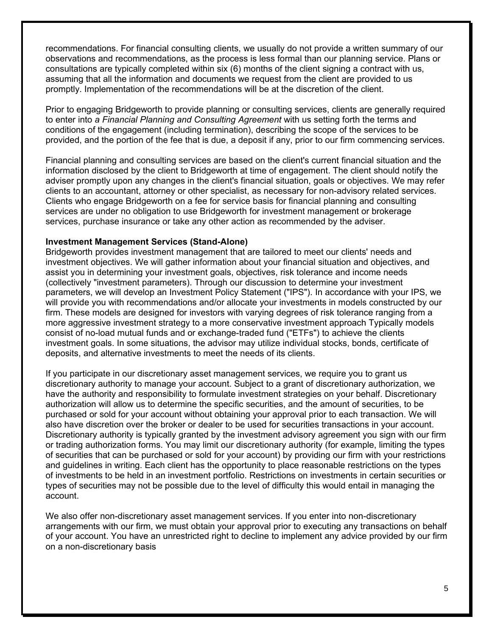recommendations. For financial consulting clients, we usually do not provide a written summary of our observations and recommendations, as the process is less formal than our planning service. Plans or consultations are typically completed within six (6) months of the client signing a contract with us, assuming that all the information and documents we request from the client are provided to us promptly. Implementation of the recommendations will be at the discretion of the client.

Prior to engaging Bridgeworth to provide planning or consulting services, clients are generally required to enter into *a Financial Planning and Consulting Agreement* with us setting forth the terms and conditions of the engagement (including termination), describing the scope of the services to be provided, and the portion of the fee that is due, a deposit if any, prior to our firm commencing services.

Financial planning and consulting services are based on the client's current financial situation and the information disclosed by the client to Bridgeworth at time of engagement. The client should notify the adviser promptly upon any changes in the client's financial situation, goals or objectives. We may refer clients to an accountant, attorney or other specialist, as necessary for non-advisory related services. Clients who engage Bridgeworth on a fee for service basis for financial planning and consulting services are under no obligation to use Bridgeworth for investment management or brokerage services, purchase insurance or take any other action as recommended by the adviser.

#### **Investment Management Services (Stand-Alone)**

Bridgeworth provides investment management that are tailored to meet our clients' needs and investment objectives. We will gather information about your financial situation and objectives, and assist you in determining your investment goals, objectives, risk tolerance and income needs (collectively "investment parameters). Through our discussion to determine your investment parameters, we will develop an Investment Policy Statement ("IPS"). In accordance with your IPS, we will provide you with recommendations and/or allocate your investments in models constructed by our firm. These models are designed for investors with varying degrees of risk tolerance ranging from a more aggressive investment strategy to a more conservative investment approach Typically models consist of no-load mutual funds and or exchange-traded fund ("ETFs") to achieve the clients investment goals. In some situations, the advisor may utilize individual stocks, bonds, certificate of deposits, and alternative investments to meet the needs of its clients.

If you participate in our discretionary asset management services, we require you to grant us discretionary authority to manage your account. Subject to a grant of discretionary authorization, we have the authority and responsibility to formulate investment strategies on your behalf. Discretionary authorization will allow us to determine the specific securities, and the amount of securities, to be purchased or sold for your account without obtaining your approval prior to each transaction. We will also have discretion over the broker or dealer to be used for securities transactions in your account. Discretionary authority is typically granted by the investment advisory agreement you sign with our firm or trading authorization forms. You may limit our discretionary authority (for example, limiting the types of securities that can be purchased or sold for your account) by providing our firm with your restrictions and guidelines in writing. Each client has the opportunity to place reasonable restrictions on the types of investments to be held in an investment portfolio. Restrictions on investments in certain securities or types of securities may not be possible due to the level of difficulty this would entail in managing the account.

We also offer non-discretionary asset management services. If you enter into non-discretionary arrangements with our firm, we must obtain your approval prior to executing any transactions on behalf of your account. You have an unrestricted right to decline to implement any advice provided by our firm on a non-discretionary basis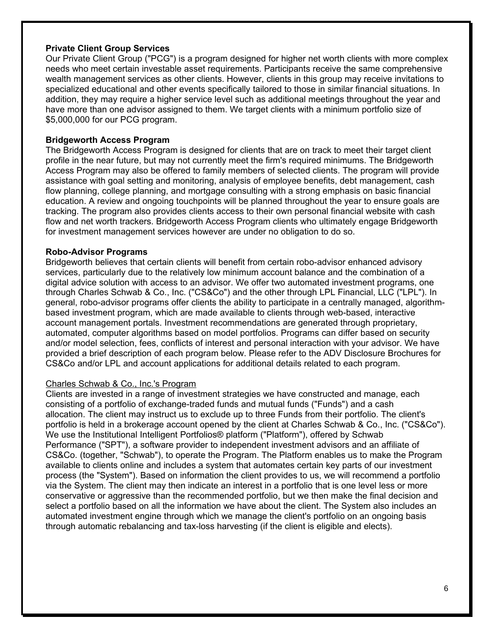#### **Private Client Group Services**

Our Private Client Group ("PCG") is a program designed for higher net worth clients with more complex needs who meet certain investable asset requirements. Participants receive the same comprehensive wealth management services as other clients. However, clients in this group may receive invitations to specialized educational and other events specifically tailored to those in similar financial situations. In addition, they may require a higher service level such as additional meetings throughout the year and have more than one advisor assigned to them. We target clients with a minimum portfolio size of \$5,000,000 for our PCG program.

### **Bridgeworth Access Program**

The Bridgeworth Access Program is designed for clients that are on track to meet their target client profile in the near future, but may not currently meet the firm's required minimums. The Bridgeworth Access Program may also be offered to family members of selected clients. The program will provide assistance with goal setting and monitoring, analysis of employee benefits, debt management, cash flow planning, college planning, and mortgage consulting with a strong emphasis on basic financial education. A review and ongoing touchpoints will be planned throughout the year to ensure goals are tracking. The program also provides clients access to their own personal financial website with cash flow and net worth trackers. Bridgeworth Access Program clients who ultimately engage Bridgeworth for investment management services however are under no obligation to do so.

#### **Robo-Advisor Programs**

Bridgeworth believes that certain clients will benefit from certain robo-advisor enhanced advisory services, particularly due to the relatively low minimum account balance and the combination of a digital advice solution with access to an advisor. We offer two automated investment programs, one through Charles Schwab & Co., Inc. ("CS&Co") and the other through LPL Financial, LLC ("LPL"). In general, robo-advisor programs offer clients the ability to participate in a centrally managed, algorithmbased investment program, which are made available to clients through web-based, interactive account management portals. Investment recommendations are generated through proprietary, automated, computer algorithms based on model portfolios. Programs can differ based on security and/or model selection, fees, conflicts of interest and personal interaction with your advisor. We have provided a brief description of each program below. Please refer to the ADV Disclosure Brochures for CS&Co and/or LPL and account applications for additional details related to each program.

#### Charles Schwab & Co., Inc.'s Program

Clients are invested in a range of investment strategies we have constructed and manage, each consisting of a portfolio of exchange-traded funds and mutual funds ("Funds") and a cash allocation. The client may instruct us to exclude up to three Funds from their portfolio. The client's portfolio is held in a brokerage account opened by the client at Charles Schwab & Co., Inc. ("CS&Co"). We use the Institutional Intelligent Portfolios® platform ("Platform"), offered by Schwab Performance ("SPT"), a software provider to independent investment advisors and an affiliate of CS&Co. (together, "Schwab"), to operate the Program. The Platform enables us to make the Program available to clients online and includes a system that automates certain key parts of our investment process (the "System"). Based on information the client provides to us, we will recommend a portfolio via the System. The client may then indicate an interest in a portfolio that is one level less or more conservative or aggressive than the recommended portfolio, but we then make the final decision and select a portfolio based on all the information we have about the client. The System also includes an automated investment engine through which we manage the client's portfolio on an ongoing basis through automatic rebalancing and tax-loss harvesting (if the client is eligible and elects).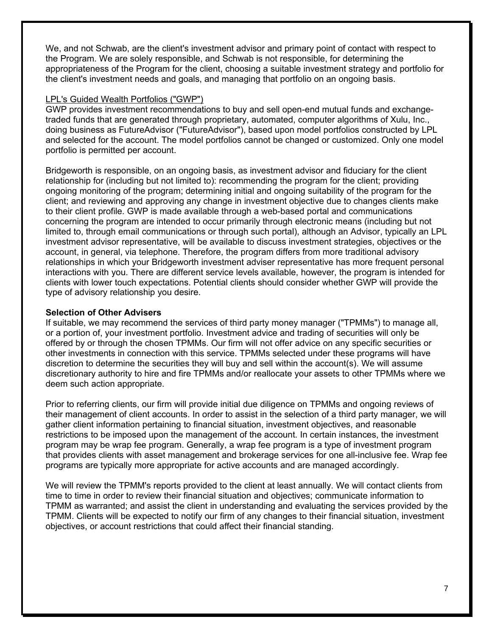We, and not Schwab, are the client's investment advisor and primary point of contact with respect to the Program. We are solely responsible, and Schwab is not responsible, for determining the appropriateness of the Program for the client, choosing a suitable investment strategy and portfolio for the client's investment needs and goals, and managing that portfolio on an ongoing basis.

#### LPL's Guided Wealth Portfolios ("GWP")

GWP provides investment recommendations to buy and sell open-end mutual funds and exchangetraded funds that are generated through proprietary, automated, computer algorithms of Xulu, Inc., doing business as FutureAdvisor ("FutureAdvisor"), based upon model portfolios constructed by LPL and selected for the account. The model portfolios cannot be changed or customized. Only one model portfolio is permitted per account.

Bridgeworth is responsible, on an ongoing basis, as investment advisor and fiduciary for the client relationship for (including but not limited to): recommending the program for the client; providing ongoing monitoring of the program; determining initial and ongoing suitability of the program for the client; and reviewing and approving any change in investment objective due to changes clients make to their client profile. GWP is made available through a web-based portal and communications concerning the program are intended to occur primarily through electronic means (including but not limited to, through email communications or through such portal), although an Advisor, typically an LPL investment advisor representative, will be available to discuss investment strategies, objectives or the account, in general, via telephone. Therefore, the program differs from more traditional advisory relationships in which your Bridgeworth investment adviser representative has more frequent personal interactions with you. There are different service levels available, however, the program is intended for clients with lower touch expectations. Potential clients should consider whether GWP will provide the type of advisory relationship you desire.

#### **Selection of Other Advisers**

If suitable, we may recommend the services of third party money manager ("TPMMs") to manage all, or a portion of, your investment portfolio. Investment advice and trading of securities will only be offered by or through the chosen TPMMs. Our firm will not offer advice on any specific securities or other investments in connection with this service. TPMMs selected under these programs will have discretion to determine the securities they will buy and sell within the account(s). We will assume discretionary authority to hire and fire TPMMs and/or reallocate your assets to other TPMMs where we deem such action appropriate.

Prior to referring clients, our firm will provide initial due diligence on TPMMs and ongoing reviews of their management of client accounts. In order to assist in the selection of a third party manager, we will gather client information pertaining to financial situation, investment objectives, and reasonable restrictions to be imposed upon the management of the account. In certain instances, the investment program may be wrap fee program. Generally, a wrap fee program is a type of investment program that provides clients with asset management and brokerage services for one all-inclusive fee. Wrap fee programs are typically more appropriate for active accounts and are managed accordingly.

We will review the TPMM's reports provided to the client at least annually. We will contact clients from time to time in order to review their financial situation and objectives; communicate information to TPMM as warranted; and assist the client in understanding and evaluating the services provided by the TPMM. Clients will be expected to notify our firm of any changes to their financial situation, investment objectives, or account restrictions that could affect their financial standing.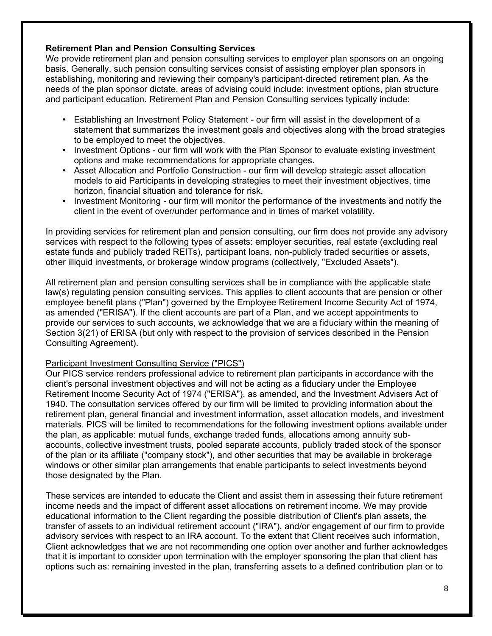### **Retirement Plan and Pension Consulting Services**

We provide retirement plan and pension consulting services to employer plan sponsors on an ongoing basis. Generally, such pension consulting services consist of assisting employer plan sponsors in establishing, monitoring and reviewing their company's participant-directed retirement plan. As the needs of the plan sponsor dictate, areas of advising could include: investment options, plan structure and participant education. Retirement Plan and Pension Consulting services typically include:

- Establishing an Investment Policy Statement our firm will assist in the development of a statement that summarizes the investment goals and objectives along with the broad strategies to be employed to meet the objectives.
- Investment Options our firm will work with the Plan Sponsor to evaluate existing investment options and make recommendations for appropriate changes.
- Asset Allocation and Portfolio Construction our firm will develop strategic asset allocation models to aid Participants in developing strategies to meet their investment objectives, time horizon, financial situation and tolerance for risk.
- Investment Monitoring our firm will monitor the performance of the investments and notify the client in the event of over/under performance and in times of market volatility.

In providing services for retirement plan and pension consulting, our firm does not provide any advisory services with respect to the following types of assets: employer securities, real estate (excluding real estate funds and publicly traded REITs), participant loans, non-publicly traded securities or assets, other illiquid investments, or brokerage window programs (collectively, "Excluded Assets").

All retirement plan and pension consulting services shall be in compliance with the applicable state law(s) regulating pension consulting services. This applies to client accounts that are pension or other employee benefit plans ("Plan") governed by the Employee Retirement Income Security Act of 1974, as amended ("ERISA"). If the client accounts are part of a Plan, and we accept appointments to provide our services to such accounts, we acknowledge that we are a fiduciary within the meaning of Section 3(21) of ERISA (but only with respect to the provision of services described in the Pension Consulting Agreement).

#### Participant Investment Consulting Service ("PICS")

Our PICS service renders professional advice to retirement plan participants in accordance with the client's personal investment objectives and will not be acting as a fiduciary under the Employee Retirement Income Security Act of 1974 ("ERISA"), as amended, and the Investment Advisers Act of 1940. The consultation services offered by our firm will be limited to providing information about the retirement plan, general financial and investment information, asset allocation models, and investment materials. PICS will be limited to recommendations for the following investment options available under the plan, as applicable: mutual funds, exchange traded funds, allocations among annuity subaccounts, collective investment trusts, pooled separate accounts, publicly traded stock of the sponsor of the plan or its affiliate ("company stock"), and other securities that may be available in brokerage windows or other similar plan arrangements that enable participants to select investments beyond those designated by the Plan.

These services are intended to educate the Client and assist them in assessing their future retirement income needs and the impact of different asset allocations on retirement income. We may provide educational information to the Client regarding the possible distribution of Client's plan assets, the transfer of assets to an individual retirement account ("IRA"), and/or engagement of our firm to provide advisory services with respect to an IRA account. To the extent that Client receives such information, Client acknowledges that we are not recommending one option over another and further acknowledges that it is important to consider upon termination with the employer sponsoring the plan that client has options such as: remaining invested in the plan, transferring assets to a defined contribution plan or to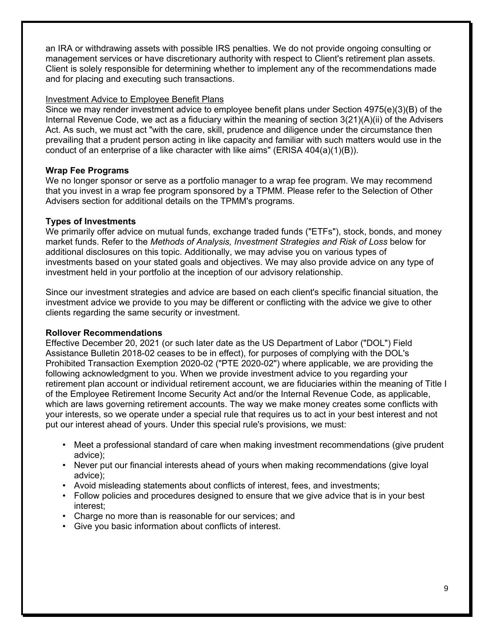an IRA or withdrawing assets with possible IRS penalties. We do not provide ongoing consulting or management services or have discretionary authority with respect to Client's retirement plan assets. Client is solely responsible for determining whether to implement any of the recommendations made and for placing and executing such transactions.

#### Investment Advice to Employee Benefit Plans

Since we may render investment advice to employee benefit plans under Section 4975(e)(3)(B) of the Internal Revenue Code, we act as a fiduciary within the meaning of section 3(21)(A)(ii) of the Advisers Act. As such, we must act "with the care, skill, prudence and diligence under the circumstance then prevailing that a prudent person acting in like capacity and familiar with such matters would use in the conduct of an enterprise of a like character with like aims" (ERISA  $404(a)(1)(B)$ ).

#### **Wrap Fee Programs**

We no longer sponsor or serve as a portfolio manager to a wrap fee program. We may recommend that you invest in a wrap fee program sponsored by a TPMM. Please refer to the Selection of Other Advisers section for additional details on the TPMM's programs.

#### **Types of Investments**

We primarily offer advice on mutual funds, exchange traded funds ("ETFs"), stock, bonds, and money market funds. Refer to the *Methods of Analysis, Investment Strategies and Risk of Loss* below for additional disclosures on this topic. Additionally, we may advise you on various types of investments based on your stated goals and objectives. We may also provide advice on any type of investment held in your portfolio at the inception of our advisory relationship.

Since our investment strategies and advice are based on each client's specific financial situation, the investment advice we provide to you may be different or conflicting with the advice we give to other clients regarding the same security or investment.

#### **Rollover Recommendations**

Effective December 20, 2021 (or such later date as the US Department of Labor ("DOL") Field Assistance Bulletin 2018-02 ceases to be in effect), for purposes of complying with the DOL's Prohibited Transaction Exemption 2020-02 ("PTE 2020-02") where applicable, we are providing the following acknowledgment to you. When we provide investment advice to you regarding your retirement plan account or individual retirement account, we are fiduciaries within the meaning of Title I of the Employee Retirement Income Security Act and/or the Internal Revenue Code, as applicable, which are laws governing retirement accounts. The way we make money creates some conflicts with your interests, so we operate under a special rule that requires us to act in your best interest and not put our interest ahead of yours. Under this special rule's provisions, we must:

- Meet a professional standard of care when making investment recommendations (give prudent advice);
- Never put our financial interests ahead of yours when making recommendations (give loyal advice);
- Avoid misleading statements about conflicts of interest, fees, and investments;
- Follow policies and procedures designed to ensure that we give advice that is in your best interest;
- Charge no more than is reasonable for our services; and
- Give you basic information about conflicts of interest.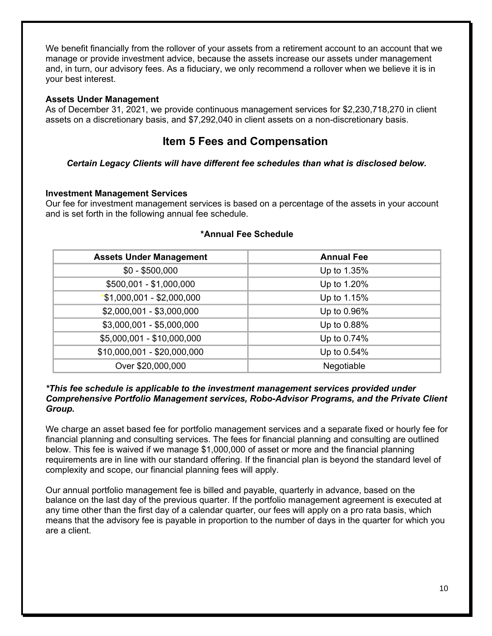We benefit financially from the rollover of your assets from a retirement account to an account that we manage or provide investment advice, because the assets increase our assets under management and, in turn, our advisory fees. As a fiduciary, we only recommend a rollover when we believe it is in your best interest.

#### **Assets Under Management**

As of December 31, 2021, we provide continuous management services for \$2,230,718,270 in client assets on a discretionary basis, and \$7,292,040 in client assets on a non-discretionary basis.

## **Item 5 Fees and Compensation**

*Certain Legacy Clients will have different fee schedules than what is disclosed below.*

#### **Investment Management Services**

Our fee for investment management services is based on a percentage of the assets in your account and is set forth in the following annual fee schedule.

| <b>Assets Under Management</b> | <b>Annual Fee</b> |
|--------------------------------|-------------------|
| $$0 - $500,000$                | Up to 1.35%       |
| \$500,001 - \$1,000,000        | Up to 1.20%       |
| $*$ \$1,000,001 - \$2,000,000  | Up to 1.15%       |
| \$2,000,001 - \$3,000,000      | Up to 0.96%       |
| \$3,000,001 - \$5,000,000      | Up to 0.88%       |
| \$5,000,001 - \$10,000,000     | Up to 0.74%       |
| \$10,000,001 - \$20,000,000    | Up to 0.54%       |
| Over \$20,000,000              | Negotiable        |

#### **\*Annual Fee Schedule**

#### *\*This fee schedule is applicable to the investment management services provided under Comprehensive Portfolio Management services, Robo-Advisor Programs, and the Private Client Group.*

We charge an asset based fee for portfolio management services and a separate fixed or hourly fee for financial planning and consulting services. The fees for financial planning and consulting are outlined below. This fee is waived if we manage \$1,000,000 of asset or more and the financial planning requirements are in line with our standard offering. If the financial plan is beyond the standard level of complexity and scope, our financial planning fees will apply.

Our annual portfolio management fee is billed and payable, quarterly in advance, based on the balance on the last day of the previous quarter. If the portfolio management agreement is executed at any time other than the first day of a calendar quarter, our fees will apply on a pro rata basis, which means that the advisory fee is payable in proportion to the number of days in the quarter for which you are a client.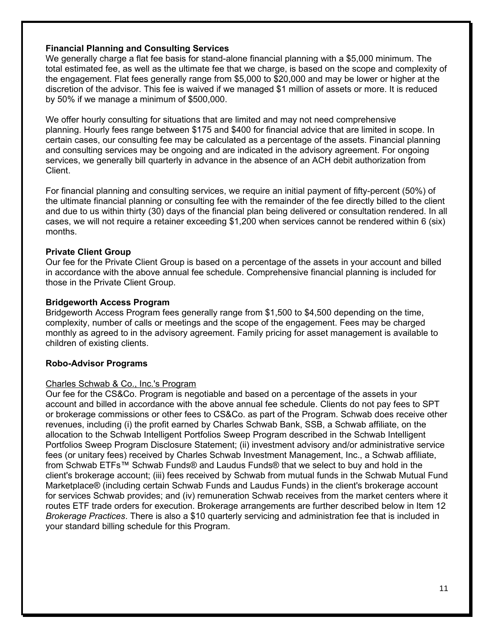### **Financial Planning and Consulting Services**

We generally charge a flat fee basis for stand-alone financial planning with a \$5,000 minimum. The total estimated fee, as well as the ultimate fee that we charge, is based on the scope and complexity of the engagement. Flat fees generally range from \$5,000 to \$20,000 and may be lower or higher at the discretion of the advisor. This fee is waived if we managed \$1 million of assets or more. It is reduced by 50% if we manage a minimum of \$500,000.

We offer hourly consulting for situations that are limited and may not need comprehensive planning. Hourly fees range between \$175 and \$400 for financial advice that are limited in scope. In certain cases, our consulting fee may be calculated as a percentage of the assets. Financial planning and consulting services may be ongoing and are indicated in the advisory agreement. For ongoing services, we generally bill quarterly in advance in the absence of an ACH debit authorization from Client.

For financial planning and consulting services, we require an initial payment of fifty-percent (50%) of the ultimate financial planning or consulting fee with the remainder of the fee directly billed to the client and due to us within thirty (30) days of the financial plan being delivered or consultation rendered. In all cases, we will not require a retainer exceeding \$1,200 when services cannot be rendered within 6 (six) months.

#### **Private Client Group**

Our fee for the Private Client Group is based on a percentage of the assets in your account and billed in accordance with the above annual fee schedule. Comprehensive financial planning is included for those in the Private Client Group.

#### **Bridgeworth Access Program**

Bridgeworth Access Program fees generally range from \$1,500 to \$4,500 depending on the time, complexity, number of calls or meetings and the scope of the engagement. Fees may be charged monthly as agreed to in the advisory agreement. Family pricing for asset management is available to children of existing clients.

#### **Robo-Advisor Programs**

#### Charles Schwab & Co., Inc.'s Program

Our fee for the CS&Co. Program is negotiable and based on a percentage of the assets in your account and billed in accordance with the above annual fee schedule. Clients do not pay fees to SPT or brokerage commissions or other fees to CS&Co. as part of the Program. Schwab does receive other revenues, including (i) the profit earned by Charles Schwab Bank, SSB, a Schwab affiliate, on the allocation to the Schwab Intelligent Portfolios Sweep Program described in the Schwab Intelligent Portfolios Sweep Program Disclosure Statement; (ii) investment advisory and/or administrative service fees (or unitary fees) received by Charles Schwab Investment Management, Inc., a Schwab affiliate, from Schwab ETFs™ Schwab Funds® and Laudus Funds® that we select to buy and hold in the client's brokerage account; (iii) fees received by Schwab from mutual funds in the Schwab Mutual Fund Marketplace® (including certain Schwab Funds and Laudus Funds) in the client's brokerage account for services Schwab provides; and (iv) remuneration Schwab receives from the market centers where it routes ETF trade orders for execution. Brokerage arrangements are further described below in Item 12 *Brokerage Practices*. There is also a \$10 quarterly servicing and administration fee that is included in your standard billing schedule for this Program.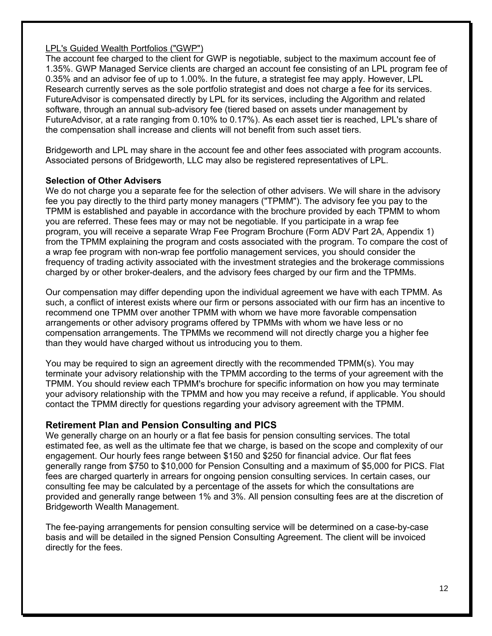### LPL's Guided Wealth Portfolios ("GWP")

The account fee charged to the client for GWP is negotiable, subject to the maximum account fee of 1.35%. GWP Managed Service clients are charged an account fee consisting of an LPL program fee of 0.35% and an advisor fee of up to 1.00%. In the future, a strategist fee may apply. However, LPL Research currently serves as the sole portfolio strategist and does not charge a fee for its services. FutureAdvisor is compensated directly by LPL for its services, including the Algorithm and related software, through an annual sub-advisory fee (tiered based on assets under management by FutureAdvisor, at a rate ranging from 0.10% to 0.17%). As each asset tier is reached, LPL's share of the compensation shall increase and clients will not benefit from such asset tiers.

Bridgeworth and LPL may share in the account fee and other fees associated with program accounts. Associated persons of Bridgeworth, LLC may also be registered representatives of LPL.

### **Selection of Other Advisers**

We do not charge you a separate fee for the selection of other advisers. We will share in the advisory fee you pay directly to the third party money managers ("TPMM"). The advisory fee you pay to the TPMM is established and payable in accordance with the brochure provided by each TPMM to whom you are referred. These fees may or may not be negotiable. If you participate in a wrap fee program, you will receive a separate Wrap Fee Program Brochure (Form ADV Part 2A, Appendix 1) from the TPMM explaining the program and costs associated with the program. To compare the cost of a wrap fee program with non-wrap fee portfolio management services, you should consider the frequency of trading activity associated with the investment strategies and the brokerage commissions charged by or other broker-dealers, and the advisory fees charged by our firm and the TPMMs.

Our compensation may differ depending upon the individual agreement we have with each TPMM. As such, a conflict of interest exists where our firm or persons associated with our firm has an incentive to recommend one TPMM over another TPMM with whom we have more favorable compensation arrangements or other advisory programs offered by TPMMs with whom we have less or no compensation arrangements. The TPMMs we recommend will not directly charge you a higher fee than they would have charged without us introducing you to them.

You may be required to sign an agreement directly with the recommended TPMM(s). You may terminate your advisory relationship with the TPMM according to the terms of your agreement with the TPMM. You should review each TPMM's brochure for specific information on how you may terminate your advisory relationship with the TPMM and how you may receive a refund, if applicable. You should contact the TPMM directly for questions regarding your advisory agreement with the TPMM.

## **Retirement Plan and Pension Consulting and PICS**

We generally charge on an hourly or a flat fee basis for pension consulting services. The total estimated fee, as well as the ultimate fee that we charge, is based on the scope and complexity of our engagement. Our hourly fees range between \$150 and \$250 for financial advice. Our flat fees generally range from \$750 to \$10,000 for Pension Consulting and a maximum of \$5,000 for PICS. Flat fees are charged quarterly in arrears for ongoing pension consulting services. In certain cases, our consulting fee may be calculated by a percentage of the assets for which the consultations are provided and generally range between 1% and 3%. All pension consulting fees are at the discretion of Bridgeworth Wealth Management.

The fee-paying arrangements for pension consulting service will be determined on a case-by-case basis and will be detailed in the signed Pension Consulting Agreement. The client will be invoiced directly for the fees.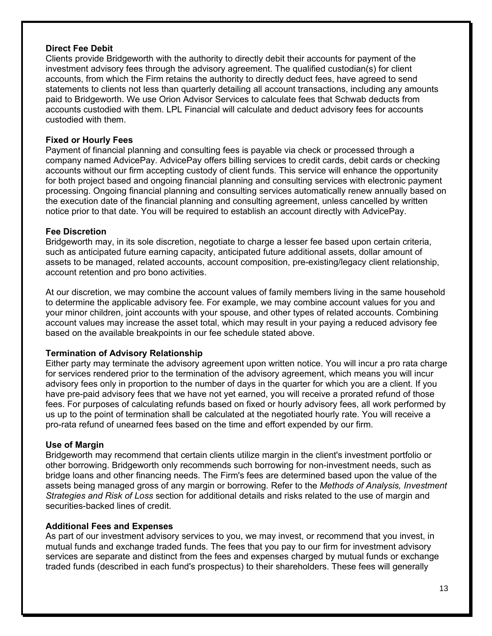#### **Direct Fee Debit**

Clients provide Bridgeworth with the authority to directly debit their accounts for payment of the investment advisory fees through the advisory agreement. The qualified custodian(s) for client accounts, from which the Firm retains the authority to directly deduct fees, have agreed to send statements to clients not less than quarterly detailing all account transactions, including any amounts paid to Bridgeworth. We use Orion Advisor Services to calculate fees that Schwab deducts from accounts custodied with them. LPL Financial will calculate and deduct advisory fees for accounts custodied with them.

### **Fixed or Hourly Fees**

Payment of financial planning and consulting fees is payable via check or processed through a company named AdvicePay. AdvicePay offers billing services to credit cards, debit cards or checking accounts without our firm accepting custody of client funds. This service will enhance the opportunity for both project based and ongoing financial planning and consulting services with electronic payment processing. Ongoing financial planning and consulting services automatically renew annually based on the execution date of the financial planning and consulting agreement, unless cancelled by written notice prior to that date. You will be required to establish an account directly with AdvicePay.

#### **Fee Discretion**

Bridgeworth may, in its sole discretion, negotiate to charge a lesser fee based upon certain criteria, such as anticipated future earning capacity, anticipated future additional assets, dollar amount of assets to be managed, related accounts, account composition, pre-existing/legacy client relationship, account retention and pro bono activities.

At our discretion, we may combine the account values of family members living in the same household to determine the applicable advisory fee. For example, we may combine account values for you and your minor children, joint accounts with your spouse, and other types of related accounts. Combining account values may increase the asset total, which may result in your paying a reduced advisory fee based on the available breakpoints in our fee schedule stated above.

### **Termination of Advisory Relationship**

Either party may terminate the advisory agreement upon written notice. You will incur a pro rata charge for services rendered prior to the termination of the advisory agreement, which means you will incur advisory fees only in proportion to the number of days in the quarter for which you are a client. If you have pre-paid advisory fees that we have not yet earned, you will receive a prorated refund of those fees. For purposes of calculating refunds based on fixed or hourly advisory fees, all work performed by us up to the point of termination shall be calculated at the negotiated hourly rate. You will receive a pro-rata refund of unearned fees based on the time and effort expended by our firm.

#### **Use of Margin**

Bridgeworth may recommend that certain clients utilize margin in the client's investment portfolio or other borrowing. Bridgeworth only recommends such borrowing for non-investment needs, such as bridge loans and other financing needs. The Firm's fees are determined based upon the value of the assets being managed gross of any margin or borrowing. Refer to the *Methods of Analysis, Investment Strategies and Risk of Loss* section for additional details and risks related to the use of margin and securities-backed lines of credit.

#### **Additional Fees and Expenses**

As part of our investment advisory services to you, we may invest, or recommend that you invest, in mutual funds and exchange traded funds. The fees that you pay to our firm for investment advisory services are separate and distinct from the fees and expenses charged by mutual funds or exchange traded funds (described in each fund's prospectus) to their shareholders. These fees will generally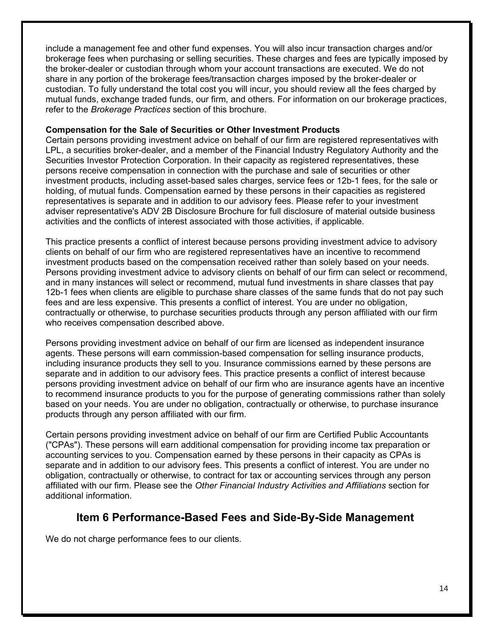include a management fee and other fund expenses. You will also incur transaction charges and/or brokerage fees when purchasing or selling securities. These charges and fees are typically imposed by the broker-dealer or custodian through whom your account transactions are executed. We do not share in any portion of the brokerage fees/transaction charges imposed by the broker-dealer or custodian. To fully understand the total cost you will incur, you should review all the fees charged by mutual funds, exchange traded funds, our firm, and others. For information on our brokerage practices, refer to the *Brokerage Practices* section of this brochure.

#### **Compensation for the Sale of Securities or Other Investment Products**

Certain persons providing investment advice on behalf of our firm are registered representatives with LPL, a securities broker-dealer, and a member of the Financial Industry Regulatory Authority and the Securities Investor Protection Corporation. In their capacity as registered representatives, these persons receive compensation in connection with the purchase and sale of securities or other investment products, including asset-based sales charges, service fees or 12b-1 fees, for the sale or holding, of mutual funds. Compensation earned by these persons in their capacities as registered representatives is separate and in addition to our advisory fees. Please refer to your investment adviser representative's ADV 2B Disclosure Brochure for full disclosure of material outside business activities and the conflicts of interest associated with those activities, if applicable.

This practice presents a conflict of interest because persons providing investment advice to advisory clients on behalf of our firm who are registered representatives have an incentive to recommend investment products based on the compensation received rather than solely based on your needs. Persons providing investment advice to advisory clients on behalf of our firm can select or recommend, and in many instances will select or recommend, mutual fund investments in share classes that pay 12b-1 fees when clients are eligible to purchase share classes of the same funds that do not pay such fees and are less expensive. This presents a conflict of interest. You are under no obligation, contractually or otherwise, to purchase securities products through any person affiliated with our firm who receives compensation described above.

Persons providing investment advice on behalf of our firm are licensed as independent insurance agents. These persons will earn commission-based compensation for selling insurance products, including insurance products they sell to you. Insurance commissions earned by these persons are separate and in addition to our advisory fees. This practice presents a conflict of interest because persons providing investment advice on behalf of our firm who are insurance agents have an incentive to recommend insurance products to you for the purpose of generating commissions rather than solely based on your needs. You are under no obligation, contractually or otherwise, to purchase insurance products through any person affiliated with our firm.

Certain persons providing investment advice on behalf of our firm are Certified Public Accountants ("CPAs"). These persons will earn additional compensation for providing income tax preparation or accounting services to you. Compensation earned by these persons in their capacity as CPAs is separate and in addition to our advisory fees. This presents a conflict of interest. You are under no obligation, contractually or otherwise, to contract for tax or accounting services through any person affiliated with our firm. Please see the *Other Financial Industry Activities and Affiliations* section for additional information.

## **Item 6 Performance-Based Fees and Side-By-Side Management**

We do not charge performance fees to our clients.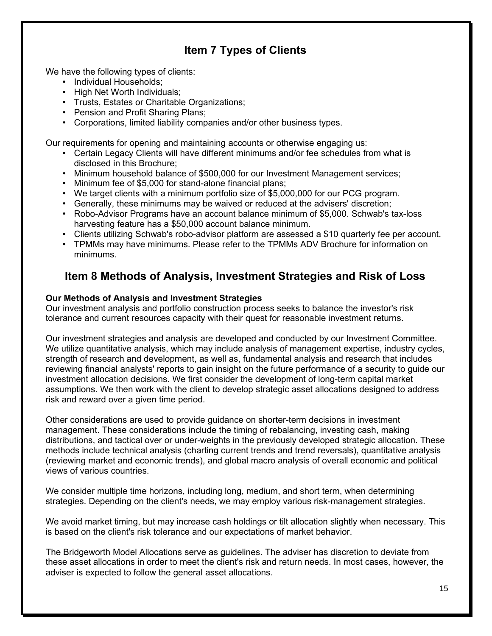## **Item 7 Types of Clients**

We have the following types of clients:

- Individual Households;
- High Net Worth Individuals;
- Trusts, Estates or Charitable Organizations;
- Pension and Profit Sharing Plans;
- Corporations, limited liability companies and/or other business types.

Our requirements for opening and maintaining accounts or otherwise engaging us:

- Certain Legacy Clients will have different minimums and/or fee schedules from what is disclosed in this Brochure;
- Minimum household balance of \$500,000 for our Investment Management services;
- Minimum fee of \$5,000 for stand-alone financial plans;
- We target clients with a minimum portfolio size of \$5,000,000 for our PCG program.
- Generally, these minimums may be waived or reduced at the advisers' discretion;
- Robo-Advisor Programs have an account balance minimum of \$5,000. Schwab's tax-loss harvesting feature has a \$50,000 account balance minimum.
- Clients utilizing Schwab's robo-advisor platform are assessed a \$10 quarterly fee per account.
- TPMMs may have minimums. Please refer to the TPMMs ADV Brochure for information on minimums.

## **Item 8 Methods of Analysis, Investment Strategies and Risk of Loss**

#### **Our Methods of Analysis and Investment Strategies**

Our investment analysis and portfolio construction process seeks to balance the investor's risk tolerance and current resources capacity with their quest for reasonable investment returns.

Our investment strategies and analysis are developed and conducted by our Investment Committee. We utilize quantitative analysis, which may include analysis of management expertise, industry cycles, strength of research and development, as well as, fundamental analysis and research that includes reviewing financial analysts' reports to gain insight on the future performance of a security to guide our investment allocation decisions. We first consider the development of long-term capital market assumptions. We then work with the client to develop strategic asset allocations designed to address risk and reward over a given time period.

Other considerations are used to provide guidance on shorter-term decisions in investment management. These considerations include the timing of rebalancing, investing cash, making distributions, and tactical over or under-weights in the previously developed strategic allocation. These methods include technical analysis (charting current trends and trend reversals), quantitative analysis (reviewing market and economic trends), and global macro analysis of overall economic and political views of various countries.

We consider multiple time horizons, including long, medium, and short term, when determining strategies. Depending on the client's needs, we may employ various risk-management strategies.

We avoid market timing, but may increase cash holdings or tilt allocation slightly when necessary. This is based on the client's risk tolerance and our expectations of market behavior.

The Bridgeworth Model Allocations serve as guidelines. The adviser has discretion to deviate from these asset allocations in order to meet the client's risk and return needs. In most cases, however, the adviser is expected to follow the general asset allocations.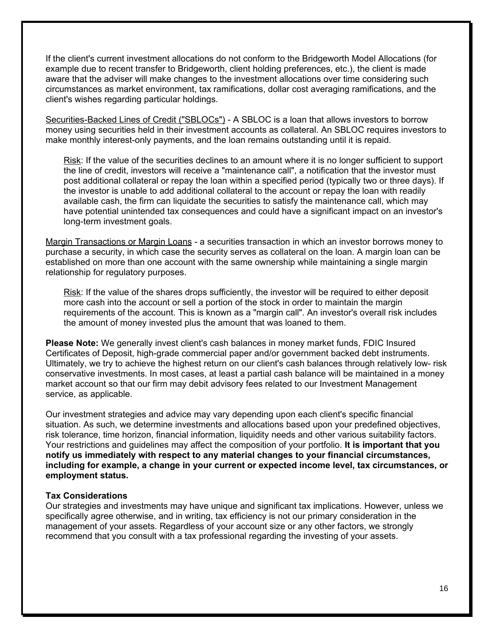If the client's current investment allocations do not conform to the Bridgeworth Model Allocations (for example due to recent transfer to Bridgeworth, client holding preferences, etc.), the client is made aware that the adviser will make changes to the investment allocations over time considering such circumstances as market environment, tax ramifications, dollar cost averaging ramifications, and the client's wishes regarding particular holdings.

Securities-Backed Lines of Credit ("SBLOCs") - A SBLOC is a loan that allows investors to borrow money using securities held in their investment accounts as collateral. An SBLOC requires investors to make monthly interest-only payments, and the loan remains outstanding until it is repaid.

Risk: If the value of the securities declines to an amount where it is no longer sufficient to support the line of credit, investors will receive a "maintenance call", a notification that the investor must post additional collateral or repay the loan within a specified period (typically two or three days). If the investor is unable to add additional collateral to the account or repay the loan with readily available cash, the firm can liquidate the securities to satisfy the maintenance call, which may have potential unintended tax consequences and could have a significant impact on an investor's long-term investment goals.

Margin Transactions or Margin Loans - a securities transaction in which an investor borrows money to purchase a security, in which case the security serves as collateral on the loan. A margin loan can be established on more than one account with the same ownership while maintaining a single margin relationship for regulatory purposes.

Risk: If the value of the shares drops sufficiently, the investor will be required to either deposit more cash into the account or sell a portion of the stock in order to maintain the margin requirements of the account. This is known as a "margin call". An investor's overall risk includes the amount of money invested plus the amount that was loaned to them.

**Please Note:** We generally invest client's cash balances in money market funds, FDIC Insured Certificates of Deposit, high-grade commercial paper and/or government backed debt instruments. Ultimately, we try to achieve the highest return on our client's cash balances through relatively low- risk conservative investments. In most cases, at least a partial cash balance will be maintained in a money market account so that our firm may debit advisory fees related to our Investment Management service, as applicable.

Our investment strategies and advice may vary depending upon each client's specific financial situation. As such, we determine investments and allocations based upon your predefined objectives, risk tolerance, time horizon, financial information, liquidity needs and other various suitability factors. Your restrictions and guidelines may affect the composition of your portfolio. **It is important that you notify us immediately with respect to any material changes to your financial circumstances, including for example, a change in your current or expected income level, tax circumstances, or employment status.**

#### **Tax Considerations**

Our strategies and investments may have unique and significant tax implications. However, unless we specifically agree otherwise, and in writing, tax efficiency is not our primary consideration in the management of your assets. Regardless of your account size or any other factors, we strongly recommend that you consult with a tax professional regarding the investing of your assets.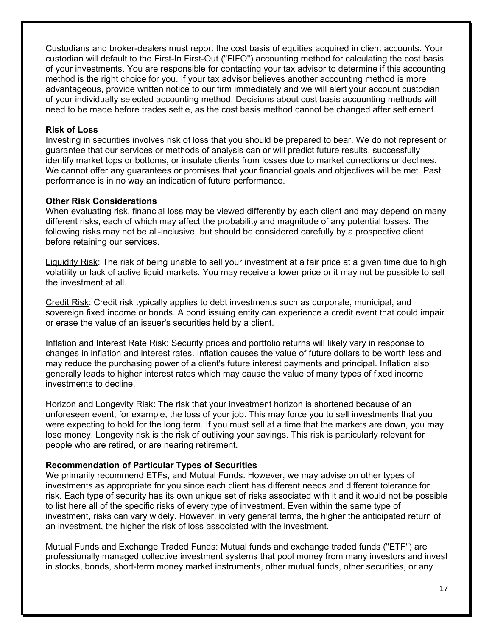Custodians and broker-dealers must report the cost basis of equities acquired in client accounts. Your custodian will default to the First-In First-Out ("FIFO") accounting method for calculating the cost basis of your investments. You are responsible for contacting your tax advisor to determine if this accounting method is the right choice for you. If your tax advisor believes another accounting method is more advantageous, provide written notice to our firm immediately and we will alert your account custodian of your individually selected accounting method. Decisions about cost basis accounting methods will need to be made before trades settle, as the cost basis method cannot be changed after settlement.

#### **Risk of Loss**

Investing in securities involves risk of loss that you should be prepared to bear. We do not represent or guarantee that our services or methods of analysis can or will predict future results, successfully identify market tops or bottoms, or insulate clients from losses due to market corrections or declines. We cannot offer any guarantees or promises that your financial goals and objectives will be met. Past performance is in no way an indication of future performance.

#### **Other Risk Considerations**

When evaluating risk, financial loss may be viewed differently by each client and may depend on many different risks, each of which may affect the probability and magnitude of any potential losses. The following risks may not be all-inclusive, but should be considered carefully by a prospective client before retaining our services.

Liquidity Risk: The risk of being unable to sell your investment at a fair price at a given time due to high volatility or lack of active liquid markets. You may receive a lower price or it may not be possible to sell the investment at all.

Credit Risk: Credit risk typically applies to debt investments such as corporate, municipal, and sovereign fixed income or bonds. A bond issuing entity can experience a credit event that could impair or erase the value of an issuer's securities held by a client.

Inflation and Interest Rate Risk: Security prices and portfolio returns will likely vary in response to changes in inflation and interest rates. Inflation causes the value of future dollars to be worth less and may reduce the purchasing power of a client's future interest payments and principal. Inflation also generally leads to higher interest rates which may cause the value of many types of fixed income investments to decline.

Horizon and Longevity Risk: The risk that your investment horizon is shortened because of an unforeseen event, for example, the loss of your job. This may force you to sell investments that you were expecting to hold for the long term. If you must sell at a time that the markets are down, you may lose money. Longevity risk is the risk of outliving your savings. This risk is particularly relevant for people who are retired, or are nearing retirement.

#### **Recommendation of Particular Types of Securities**

We primarily recommend ETFs, and Mutual Funds. However, we may advise on other types of investments as appropriate for you since each client has different needs and different tolerance for risk. Each type of security has its own unique set of risks associated with it and it would not be possible to list here all of the specific risks of every type of investment. Even within the same type of investment, risks can vary widely. However, in very general terms, the higher the anticipated return of an investment, the higher the risk of loss associated with the investment.

Mutual Funds and Exchange Traded Funds: Mutual funds and exchange traded funds ("ETF") are professionally managed collective investment systems that pool money from many investors and invest in stocks, bonds, short-term money market instruments, other mutual funds, other securities, or any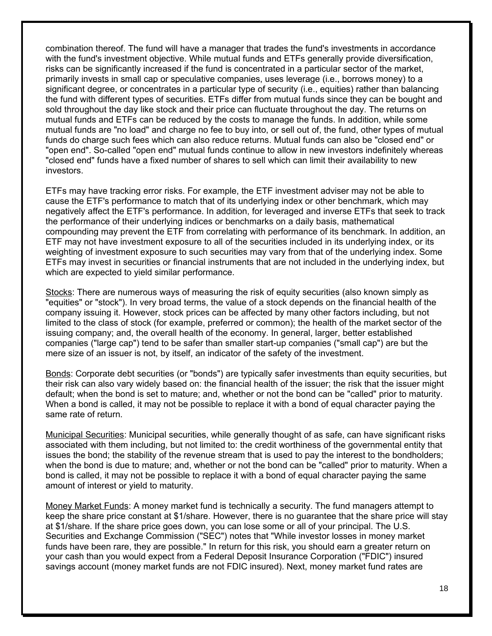combination thereof. The fund will have a manager that trades the fund's investments in accordance with the fund's investment objective. While mutual funds and ETFs generally provide diversification, risks can be significantly increased if the fund is concentrated in a particular sector of the market, primarily invests in small cap or speculative companies, uses leverage (i.e., borrows money) to a significant degree, or concentrates in a particular type of security (i.e., equities) rather than balancing the fund with different types of securities. ETFs differ from mutual funds since they can be bought and sold throughout the day like stock and their price can fluctuate throughout the day. The returns on mutual funds and ETFs can be reduced by the costs to manage the funds. In addition, while some mutual funds are "no load" and charge no fee to buy into, or sell out of, the fund, other types of mutual funds do charge such fees which can also reduce returns. Mutual funds can also be "closed end" or "open end". So-called "open end" mutual funds continue to allow in new investors indefinitely whereas "closed end" funds have a fixed number of shares to sell which can limit their availability to new investors.

ETFs may have tracking error risks. For example, the ETF investment adviser may not be able to cause the ETF's performance to match that of its underlying index or other benchmark, which may negatively affect the ETF's performance. In addition, for leveraged and inverse ETFs that seek to track the performance of their underlying indices or benchmarks on a daily basis, mathematical compounding may prevent the ETF from correlating with performance of its benchmark. In addition, an ETF may not have investment exposure to all of the securities included in its underlying index, or its weighting of investment exposure to such securities may vary from that of the underlying index. Some ETFs may invest in securities or financial instruments that are not included in the underlying index, but which are expected to yield similar performance.

Stocks: There are numerous ways of measuring the risk of equity securities (also known simply as "equities" or "stock"). In very broad terms, the value of a stock depends on the financial health of the company issuing it. However, stock prices can be affected by many other factors including, but not limited to the class of stock (for example, preferred or common); the health of the market sector of the issuing company; and, the overall health of the economy. In general, larger, better established companies ("large cap") tend to be safer than smaller start-up companies ("small cap") are but the mere size of an issuer is not, by itself, an indicator of the safety of the investment.

Bonds: Corporate debt securities (or "bonds") are typically safer investments than equity securities, but their risk can also vary widely based on: the financial health of the issuer; the risk that the issuer might default; when the bond is set to mature; and, whether or not the bond can be "called" prior to maturity. When a bond is called, it may not be possible to replace it with a bond of equal character paying the same rate of return.

Municipal Securities: Municipal securities, while generally thought of as safe, can have significant risks associated with them including, but not limited to: the credit worthiness of the governmental entity that issues the bond; the stability of the revenue stream that is used to pay the interest to the bondholders; when the bond is due to mature; and, whether or not the bond can be "called" prior to maturity. When a bond is called, it may not be possible to replace it with a bond of equal character paying the same amount of interest or yield to maturity.

Money Market Funds: A money market fund is technically a security. The fund managers attempt to keep the share price constant at \$1/share. However, there is no guarantee that the share price will stay at \$1/share. If the share price goes down, you can lose some or all of your principal. The U.S. Securities and Exchange Commission ("SEC") notes that "While investor losses in money market funds have been rare, they are possible." In return for this risk, you should earn a greater return on your cash than you would expect from a Federal Deposit Insurance Corporation ("FDIC") insured savings account (money market funds are not FDIC insured). Next, money market fund rates are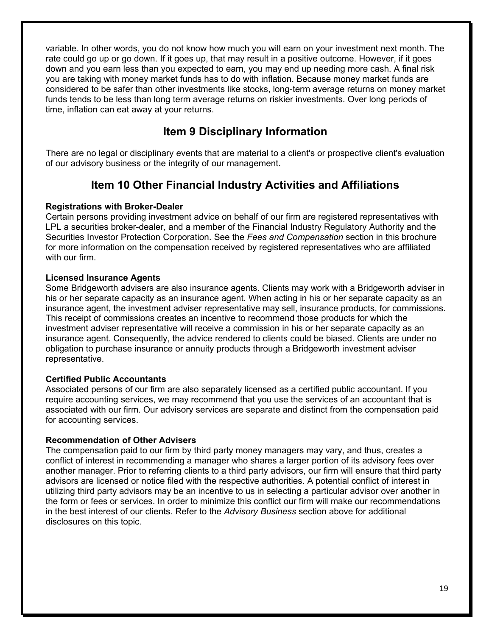variable. In other words, you do not know how much you will earn on your investment next month. The rate could go up or go down. If it goes up, that may result in a positive outcome. However, if it goes down and you earn less than you expected to earn, you may end up needing more cash. A final risk you are taking with money market funds has to do with inflation. Because money market funds are considered to be safer than other investments like stocks, long-term average returns on money market funds tends to be less than long term average returns on riskier investments. Over long periods of time, inflation can eat away at your returns.

## **Item 9 Disciplinary Information**

There are no legal or disciplinary events that are material to a client's or prospective client's evaluation of our advisory business or the integrity of our management.

## **Item 10 Other Financial Industry Activities and Affiliations**

### **Registrations with Broker-Dealer**

Certain persons providing investment advice on behalf of our firm are registered representatives with LPL a securities broker-dealer, and a member of the Financial Industry Regulatory Authority and the Securities Investor Protection Corporation. See the *Fees and Compensation* section in this brochure for more information on the compensation received by registered representatives who are affiliated with our firm.

### **Licensed Insurance Agents**

Some Bridgeworth advisers are also insurance agents. Clients may work with a Bridgeworth adviser in his or her separate capacity as an insurance agent. When acting in his or her separate capacity as an insurance agent, the investment adviser representative may sell, insurance products, for commissions. This receipt of commissions creates an incentive to recommend those products for which the investment adviser representative will receive a commission in his or her separate capacity as an insurance agent. Consequently, the advice rendered to clients could be biased. Clients are under no obligation to purchase insurance or annuity products through a Bridgeworth investment adviser representative.

## **Certified Public Accountants**

Associated persons of our firm are also separately licensed as a certified public accountant. If you require accounting services, we may recommend that you use the services of an accountant that is associated with our firm. Our advisory services are separate and distinct from the compensation paid for accounting services.

### **Recommendation of Other Advisers**

The compensation paid to our firm by third party money managers may vary, and thus, creates a conflict of interest in recommending a manager who shares a larger portion of its advisory fees over another manager. Prior to referring clients to a third party advisors, our firm will ensure that third party advisors are licensed or notice filed with the respective authorities. A potential conflict of interest in utilizing third party advisors may be an incentive to us in selecting a particular advisor over another in the form or fees or services. In order to minimize this conflict our firm will make our recommendations in the best interest of our clients. Refer to the *Advisory Business* section above for additional disclosures on this topic.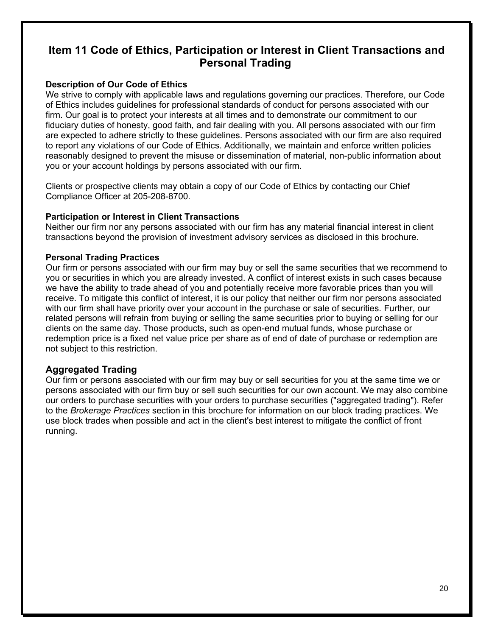## **Item 11 Code of Ethics, Participation or Interest in Client Transactions and Personal Trading**

### **Description of Our Code of Ethics**

We strive to comply with applicable laws and regulations governing our practices. Therefore, our Code of Ethics includes guidelines for professional standards of conduct for persons associated with our firm. Our goal is to protect your interests at all times and to demonstrate our commitment to our fiduciary duties of honesty, good faith, and fair dealing with you. All persons associated with our firm are expected to adhere strictly to these guidelines. Persons associated with our firm are also required to report any violations of our Code of Ethics. Additionally, we maintain and enforce written policies reasonably designed to prevent the misuse or dissemination of material, non-public information about you or your account holdings by persons associated with our firm.

Clients or prospective clients may obtain a copy of our Code of Ethics by contacting our Chief Compliance Officer at 205-208-8700.

### **Participation or Interest in Client Transactions**

Neither our firm nor any persons associated with our firm has any material financial interest in client transactions beyond the provision of investment advisory services as disclosed in this brochure.

### **Personal Trading Practices**

Our firm or persons associated with our firm may buy or sell the same securities that we recommend to you or securities in which you are already invested. A conflict of interest exists in such cases because we have the ability to trade ahead of you and potentially receive more favorable prices than you will receive. To mitigate this conflict of interest, it is our policy that neither our firm nor persons associated with our firm shall have priority over your account in the purchase or sale of securities. Further, our related persons will refrain from buying or selling the same securities prior to buying or selling for our clients on the same day. Those products, such as open-end mutual funds, whose purchase or redemption price is a fixed net value price per share as of end of date of purchase or redemption are not subject to this restriction.

## **Aggregated Trading**

Our firm or persons associated with our firm may buy or sell securities for you at the same time we or persons associated with our firm buy or sell such securities for our own account. We may also combine our orders to purchase securities with your orders to purchase securities ("aggregated trading"). Refer to the *Brokerage Practices* section in this brochure for information on our block trading practices. We use block trades when possible and act in the client's best interest to mitigate the conflict of front running.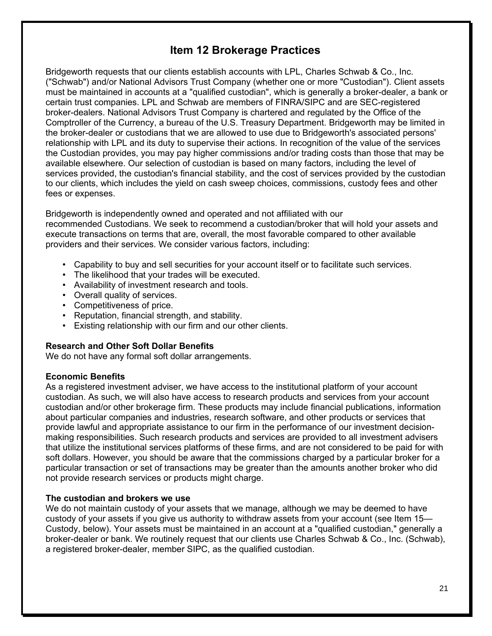## **Item 12 Brokerage Practices**

Bridgeworth requests that our clients establish accounts with LPL, Charles Schwab & Co., Inc. ("Schwab") and/or National Advisors Trust Company (whether one or more "Custodian"). Client assets must be maintained in accounts at a "qualified custodian", which is generally a broker-dealer, a bank or certain trust companies. LPL and Schwab are members of FINRA/SIPC and are SEC-registered broker-dealers. National Advisors Trust Company is chartered and regulated by the Office of the Comptroller of the Currency, a bureau of the U.S. Treasury Department. Bridgeworth may be limited in the broker-dealer or custodians that we are allowed to use due to Bridgeworth's associated persons' relationship with LPL and its duty to supervise their actions. In recognition of the value of the services the Custodian provides, you may pay higher commissions and/or trading costs than those that may be available elsewhere. Our selection of custodian is based on many factors, including the level of services provided, the custodian's financial stability, and the cost of services provided by the custodian to our clients, which includes the yield on cash sweep choices, commissions, custody fees and other fees or expenses.

Bridgeworth is independently owned and operated and not affiliated with our recommended Custodians. We seek to recommend a custodian/broker that will hold your assets and execute transactions on terms that are, overall, the most favorable compared to other available providers and their services. We consider various factors, including:

- Capability to buy and sell securities for your account itself or to facilitate such services.
- The likelihood that your trades will be executed.
- Availability of investment research and tools.
- Overall quality of services.
- Competitiveness of price.
- Reputation, financial strength, and stability.
- Existing relationship with our firm and our other clients.

#### **Research and Other Soft Dollar Benefits**

We do not have any formal soft dollar arrangements.

#### **Economic Benefits**

As a registered investment adviser, we have access to the institutional platform of your account custodian. As such, we will also have access to research products and services from your account custodian and/or other brokerage firm. These products may include financial publications, information about particular companies and industries, research software, and other products or services that provide lawful and appropriate assistance to our firm in the performance of our investment decisionmaking responsibilities. Such research products and services are provided to all investment advisers that utilize the institutional services platforms of these firms, and are not considered to be paid for with soft dollars. However, you should be aware that the commissions charged by a particular broker for a particular transaction or set of transactions may be greater than the amounts another broker who did not provide research services or products might charge.

### **The custodian and brokers we use**

We do not maintain custody of your assets that we manage, although we may be deemed to have custody of your assets if you give us authority to withdraw assets from your account (see Item 15— Custody, below). Your assets must be maintained in an account at a "qualified custodian," generally a broker-dealer or bank. We routinely request that our clients use Charles Schwab & Co., Inc. (Schwab), a registered broker-dealer, member SIPC, as the qualified custodian.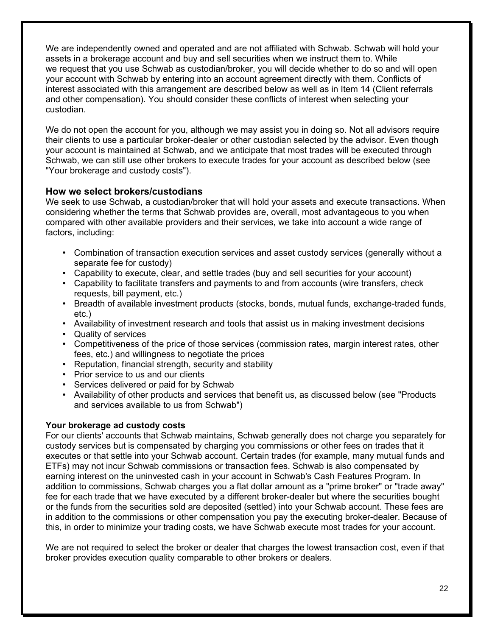We are independently owned and operated and are not affiliated with Schwab. Schwab will hold your assets in a brokerage account and buy and sell securities when we instruct them to. While we request that you use Schwab as custodian/broker, you will decide whether to do so and will open your account with Schwab by entering into an account agreement directly with them. Conflicts of interest associated with this arrangement are described below as well as in Item 14 (Client referrals and other compensation). You should consider these conflicts of interest when selecting your custodian.

We do not open the account for you, although we may assist you in doing so. Not all advisors require their clients to use a particular broker-dealer or other custodian selected by the advisor. Even though your account is maintained at Schwab, and we anticipate that most trades will be executed through Schwab, we can still use other brokers to execute trades for your account as described below (see "Your brokerage and custody costs").

### **How we select brokers/custodians**

We seek to use Schwab, a custodian/broker that will hold your assets and execute transactions. When considering whether the terms that Schwab provides are, overall, most advantageous to you when compared with other available providers and their services, we take into account a wide range of factors, including:

- Combination of transaction execution services and asset custody services (generally without a separate fee for custody)
- Capability to execute, clear, and settle trades (buy and sell securities for your account)
- Capability to facilitate transfers and payments to and from accounts (wire transfers, check requests, bill payment, etc.)
- Breadth of available investment products (stocks, bonds, mutual funds, exchange-traded funds, etc.)
- Availability of investment research and tools that assist us in making investment decisions
- Quality of services
- Competitiveness of the price of those services (commission rates, margin interest rates, other fees, etc.) and willingness to negotiate the prices
- Reputation, financial strength, security and stability
- Prior service to us and our clients
- Services delivered or paid for by Schwab
- Availability of other products and services that benefit us, as discussed below (see "Products and services available to us from Schwab")

### **Your brokerage ad custody costs**

For our clients' accounts that Schwab maintains, Schwab generally does not charge you separately for custody services but is compensated by charging you commissions or other fees on trades that it executes or that settle into your Schwab account. Certain trades (for example, many mutual funds and ETFs) may not incur Schwab commissions or transaction fees. Schwab is also compensated by earning interest on the uninvested cash in your account in Schwab's Cash Features Program. In addition to commissions, Schwab charges you a flat dollar amount as a "prime broker" or "trade away" fee for each trade that we have executed by a different broker-dealer but where the securities bought or the funds from the securities sold are deposited (settled) into your Schwab account. These fees are in addition to the commissions or other compensation you pay the executing broker-dealer. Because of this, in order to minimize your trading costs, we have Schwab execute most trades for your account.

We are not required to select the broker or dealer that charges the lowest transaction cost, even if that broker provides execution quality comparable to other brokers or dealers.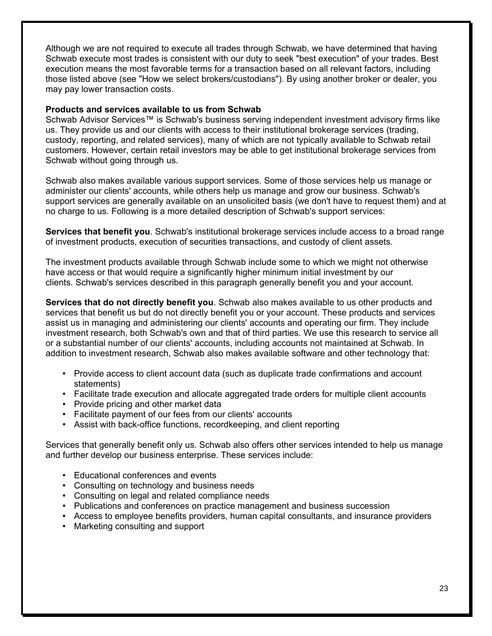Although we are not required to execute all trades through Schwab, we have determined that having Schwab execute most trades is consistent with our duty to seek "best execution" of your trades. Best execution means the most favorable terms for a transaction based on all relevant factors, including those listed above (see "How we select brokers/custodians"). By using another broker or dealer, you may pay lower transaction costs.

#### **Products and services available to us from Schwab**

Schwab Advisor Services™ is Schwab's business serving independent investment advisory firms like us. They provide us and our clients with access to their institutional brokerage services (trading, custody, reporting, and related services), many of which are not typically available to Schwab retail customers. However, certain retail investors may be able to get institutional brokerage services from Schwab without going through us.

Schwab also makes available various support services. Some of those services help us manage or administer our clients' accounts, while others help us manage and grow our business. Schwab's support services are generally available on an unsolicited basis (we don't have to request them) and at no charge to us. Following is a more detailed description of Schwab's support services:

**Services that benefit you**. Schwab's institutional brokerage services include access to a broad range of investment products, execution of securities transactions, and custody of client assets.

The investment products available through Schwab include some to which we might not otherwise have access or that would require a significantly higher minimum initial investment by our clients. Schwab's services described in this paragraph generally benefit you and your account.

**Services that do not directly benefit you**. Schwab also makes available to us other products and services that benefit us but do not directly benefit you or your account. These products and services assist us in managing and administering our clients' accounts and operating our firm. They include investment research, both Schwab's own and that of third parties. We use this research to service all or a substantial number of our clients' accounts, including accounts not maintained at Schwab. In addition to investment research, Schwab also makes available software and other technology that:

- Provide access to client account data (such as duplicate trade confirmations and account statements)
- Facilitate trade execution and allocate aggregated trade orders for multiple client accounts
- Provide pricing and other market data
- Facilitate payment of our fees from our clients' accounts
- Assist with back-office functions, recordkeeping, and client reporting

Services that generally benefit only us. Schwab also offers other services intended to help us manage and further develop our business enterprise. These services include:

- Educational conferences and events
- Consulting on technology and business needs
- Consulting on legal and related compliance needs
- Publications and conferences on practice management and business succession
- Access to employee benefits providers, human capital consultants, and insurance providers
- Marketing consulting and support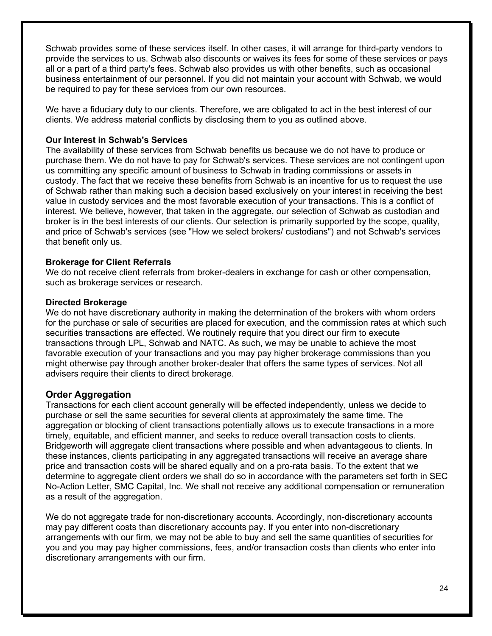Schwab provides some of these services itself. In other cases, it will arrange for third-party vendors to provide the services to us. Schwab also discounts or waives its fees for some of these services or pays all or a part of a third party's fees. Schwab also provides us with other benefits, such as occasional business entertainment of our personnel. If you did not maintain your account with Schwab, we would be required to pay for these services from our own resources.

We have a fiduciary duty to our clients. Therefore, we are obligated to act in the best interest of our clients. We address material conflicts by disclosing them to you as outlined above.

#### **Our Interest in Schwab's Services**

The availability of these services from Schwab benefits us because we do not have to produce or purchase them. We do not have to pay for Schwab's services. These services are not contingent upon us committing any specific amount of business to Schwab in trading commissions or assets in custody. The fact that we receive these benefits from Schwab is an incentive for us to request the use of Schwab rather than making such a decision based exclusively on your interest in receiving the best value in custody services and the most favorable execution of your transactions. This is a conflict of interest. We believe, however, that taken in the aggregate, our selection of Schwab as custodian and broker is in the best interests of our clients. Our selection is primarily supported by the scope, quality, and price of Schwab's services (see "How we select brokers/ custodians") and not Schwab's services that benefit only us.

#### **Brokerage for Client Referrals**

We do not receive client referrals from broker-dealers in exchange for cash or other compensation, such as brokerage services or research.

#### **Directed Brokerage**

We do not have discretionary authority in making the determination of the brokers with whom orders for the purchase or sale of securities are placed for execution, and the commission rates at which such securities transactions are effected. We routinely require that you direct our firm to execute transactions through LPL, Schwab and NATC. As such, we may be unable to achieve the most favorable execution of your transactions and you may pay higher brokerage commissions than you might otherwise pay through another broker-dealer that offers the same types of services. Not all advisers require their clients to direct brokerage.

#### **Order Aggregation**

Transactions for each client account generally will be effected independently, unless we decide to purchase or sell the same securities for several clients at approximately the same time. The aggregation or blocking of client transactions potentially allows us to execute transactions in a more timely, equitable, and efficient manner, and seeks to reduce overall transaction costs to clients. Bridgeworth will aggregate client transactions where possible and when advantageous to clients. In these instances, clients participating in any aggregated transactions will receive an average share price and transaction costs will be shared equally and on a pro-rata basis. To the extent that we determine to aggregate client orders we shall do so in accordance with the parameters set forth in SEC No-Action Letter, SMC Capital, Inc. We shall not receive any additional compensation or remuneration as a result of the aggregation.

We do not aggregate trade for non-discretionary accounts. Accordingly, non-discretionary accounts may pay different costs than discretionary accounts pay. If you enter into non-discretionary arrangements with our firm, we may not be able to buy and sell the same quantities of securities for you and you may pay higher commissions, fees, and/or transaction costs than clients who enter into discretionary arrangements with our firm.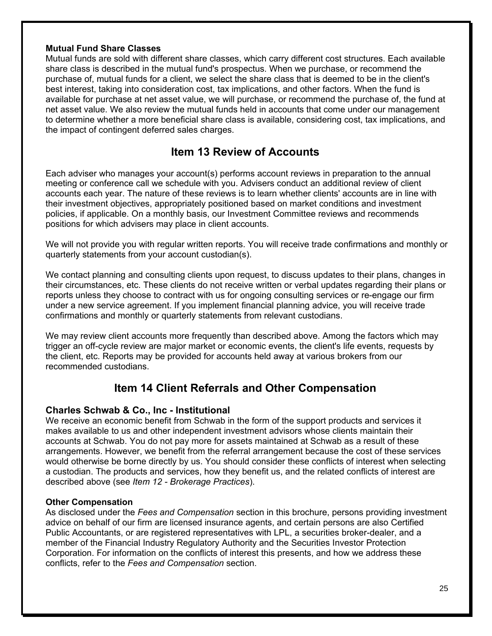### **Mutual Fund Share Classes**

Mutual funds are sold with different share classes, which carry different cost structures. Each available share class is described in the mutual fund's prospectus. When we purchase, or recommend the purchase of, mutual funds for a client, we select the share class that is deemed to be in the client's best interest, taking into consideration cost, tax implications, and other factors. When the fund is available for purchase at net asset value, we will purchase, or recommend the purchase of, the fund at net asset value. We also review the mutual funds held in accounts that come under our management to determine whether a more beneficial share class is available, considering cost, tax implications, and the impact of contingent deferred sales charges.

## **Item 13 Review of Accounts**

Each adviser who manages your account(s) performs account reviews in preparation to the annual meeting or conference call we schedule with you. Advisers conduct an additional review of client accounts each year. The nature of these reviews is to learn whether clients' accounts are in line with their investment objectives, appropriately positioned based on market conditions and investment policies, if applicable. On a monthly basis, our Investment Committee reviews and recommends positions for which advisers may place in client accounts.

We will not provide you with regular written reports. You will receive trade confirmations and monthly or quarterly statements from your account custodian(s).

We contact planning and consulting clients upon request, to discuss updates to their plans, changes in their circumstances, etc. These clients do not receive written or verbal updates regarding their plans or reports unless they choose to contract with us for ongoing consulting services or re-engage our firm under a new service agreement. If you implement financial planning advice, you will receive trade confirmations and monthly or quarterly statements from relevant custodians.

We may review client accounts more frequently than described above. Among the factors which may trigger an off-cycle review are major market or economic events, the client's life events, requests by the client, etc. Reports may be provided for accounts held away at various brokers from our recommended custodians.

## **Item 14 Client Referrals and Other Compensation**

## **Charles Schwab & Co., Inc - Institutional**

We receive an economic benefit from Schwab in the form of the support products and services it makes available to us and other independent investment advisors whose clients maintain their accounts at Schwab. You do not pay more for assets maintained at Schwab as a result of these arrangements. However, we benefit from the referral arrangement because the cost of these services would otherwise be borne directly by us. You should consider these conflicts of interest when selecting a custodian. The products and services, how they benefit us, and the related conflicts of interest are described above (see *Item 12 - Brokerage Practices*).

### **Other Compensation**

As disclosed under the *Fees and Compensation* section in this brochure, persons providing investment advice on behalf of our firm are licensed insurance agents, and certain persons are also Certified Public Accountants, or are registered representatives with LPL, a securities broker-dealer, and a member of the Financial Industry Regulatory Authority and the Securities Investor Protection Corporation. For information on the conflicts of interest this presents, and how we address these conflicts, refer to the *Fees and Compensation* section.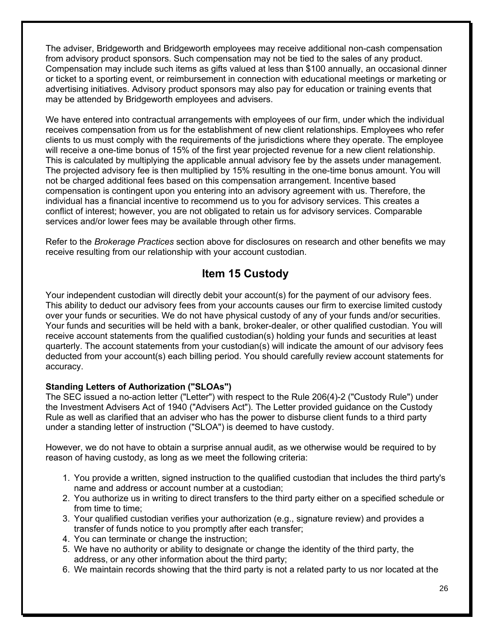The adviser, Bridgeworth and Bridgeworth employees may receive additional non-cash compensation from advisory product sponsors. Such compensation may not be tied to the sales of any product. Compensation may include such items as gifts valued at less than \$100 annually, an occasional dinner or ticket to a sporting event, or reimbursement in connection with educational meetings or marketing or advertising initiatives. Advisory product sponsors may also pay for education or training events that may be attended by Bridgeworth employees and advisers.

We have entered into contractual arrangements with employees of our firm, under which the individual receives compensation from us for the establishment of new client relationships. Employees who refer clients to us must comply with the requirements of the jurisdictions where they operate. The employee will receive a one-time bonus of 15% of the first year projected revenue for a new client relationship. This is calculated by multiplying the applicable annual advisory fee by the assets under management. The projected advisory fee is then multiplied by 15% resulting in the one-time bonus amount. You will not be charged additional fees based on this compensation arrangement. Incentive based compensation is contingent upon you entering into an advisory agreement with us. Therefore, the individual has a financial incentive to recommend us to you for advisory services. This creates a conflict of interest; however, you are not obligated to retain us for advisory services. Comparable services and/or lower fees may be available through other firms.

Refer to the *Brokerage Practices* section above for disclosures on research and other benefits we may receive resulting from our relationship with your account custodian.

## **Item 15 Custody**

Your independent custodian will directly debit your account(s) for the payment of our advisory fees. This ability to deduct our advisory fees from your accounts causes our firm to exercise limited custody over your funds or securities. We do not have physical custody of any of your funds and/or securities. Your funds and securities will be held with a bank, broker-dealer, or other qualified custodian. You will receive account statements from the qualified custodian(s) holding your funds and securities at least quarterly. The account statements from your custodian(s) will indicate the amount of our advisory fees deducted from your account(s) each billing period. You should carefully review account statements for accuracy.

## **Standing Letters of Authorization ("SLOAs")**

The SEC issued a no-action letter ("Letter") with respect to the Rule 206(4)-2 ("Custody Rule") under the Investment Advisers Act of 1940 ("Advisers Act"). The Letter provided guidance on the Custody Rule as well as clarified that an adviser who has the power to disburse client funds to a third party under a standing letter of instruction ("SLOA") is deemed to have custody.

However, we do not have to obtain a surprise annual audit, as we otherwise would be required to by reason of having custody, as long as we meet the following criteria:

- 1. You provide a written, signed instruction to the qualified custodian that includes the third party's name and address or account number at a custodian;
- 2. You authorize us in writing to direct transfers to the third party either on a specified schedule or from time to time;
- 3. Your qualified custodian verifies your authorization (e.g., signature review) and provides a transfer of funds notice to you promptly after each transfer;
- 4. You can terminate or change the instruction;
- 5. We have no authority or ability to designate or change the identity of the third party, the address, or any other information about the third party;
- 6. We maintain records showing that the third party is not a related party to us nor located at the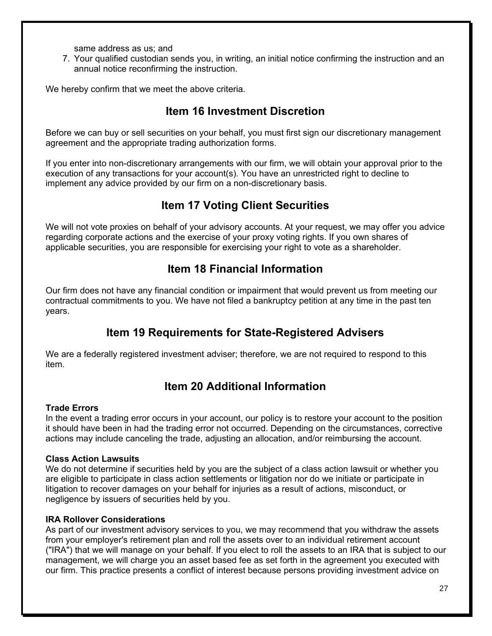same address as us; and

7. Your qualified custodian sends you, in writing, an initial notice confirming the instruction and an annual notice reconfirming the instruction.

We hereby confirm that we meet the above criteria.

## **Item 16 Investment Discretion**

Before we can buy or sell securities on your behalf, you must first sign our discretionary management agreement and the appropriate trading authorization forms.

If you enter into non-discretionary arrangements with our firm, we will obtain your approval prior to the execution of any transactions for your account(s). You have an unrestricted right to decline to implement any advice provided by our firm on a non-discretionary basis.

## **Item 17 Voting Client Securities**

We will not vote proxies on behalf of your advisory accounts. At your request, we may offer you advice regarding corporate actions and the exercise of your proxy voting rights. If you own shares of applicable securities, you are responsible for exercising your right to vote as a shareholder.

## **Item 18 Financial Information**

Our firm does not have any financial condition or impairment that would prevent us from meeting our contractual commitments to you. We have not filed a bankruptcy petition at any time in the past ten years.

## **Item 19 Requirements for State-Registered Advisers**

We are a federally registered investment adviser; therefore, we are not required to respond to this item.

## **Item 20 Additional Information**

## **Trade Errors**

In the event a trading error occurs in your account, our policy is to restore your account to the position it should have been in had the trading error not occurred. Depending on the circumstances, corrective actions may include canceling the trade, adjusting an allocation, and/or reimbursing the account.

## **Class Action Lawsuits**

We do not determine if securities held by you are the subject of a class action lawsuit or whether you are eligible to participate in class action settlements or litigation nor do we initiate or participate in litigation to recover damages on your behalf for injuries as a result of actions, misconduct, or negligence by issuers of securities held by you.

## **IRA Rollover Considerations**

As part of our investment advisory services to you, we may recommend that you withdraw the assets from your employer's retirement plan and roll the assets over to an individual retirement account ("IRA") that we will manage on your behalf. If you elect to roll the assets to an IRA that is subject to our management, we will charge you an asset based fee as set forth in the agreement you executed with our firm. This practice presents a conflict of interest because persons providing investment advice on